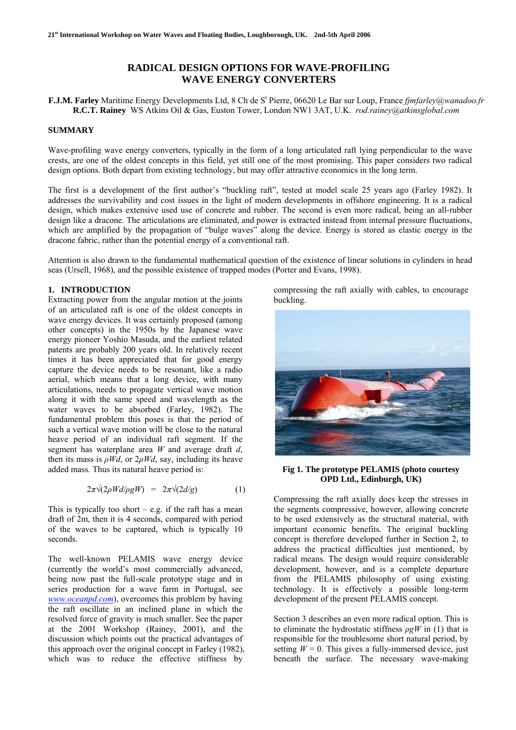# **RADICAL DESIGN OPTIONS FOR WAVE-PROFILING WAVE ENERGY CONVERTERS**

**F.J.M. Farley** Maritime Energy Developments Ltd, 8 Ch de St Pierre, 06620 Le Bar sur Loup, France *fjmfarley@wanadoo.fr* **R.C.T. Rainey** WS Atkins Oil & Gas, Euston Tower, London NW1 3AT, U.K. *rod.rainey@atkinsglobal.com*

## **SUMMARY**

Wave-profiling wave energy converters, typically in the form of a long articulated raft lying perpendicular to the wave crests, are one of the oldest concepts in this field, yet still one of the most promising. This paper considers two radical design options. Both depart from existing technology, but may offer attractive economics in the long term.

The first is a development of the first author's "buckling raft", tested at model scale 25 years ago (Farley 1982). It addresses the survivability and cost issues in the light of modern developments in offshore engineering. It is a radical design, which makes extensive used use of concrete and rubber. The second is even more radical, being an all-rubber design like a dracone. The articulations are eliminated, and power is extracted instead from internal pressure fluctuations, which are amplified by the propagation of "bulge waves" along the device. Energy is stored as elastic energy in the dracone fabric, rather than the potential energy of a conventional raft.

Attention is also drawn to the fundamental mathematical question of the existence of linear solutions in cylinders in head seas (Ursell, 1968), and the possible existence of trapped modes (Porter and Evans, 1998).

## **1. INTRODUCTION**

Extracting power from the angular motion at the joints of an articulated raft is one of the oldest concepts in wave energy devices. It was certainly proposed (among other concepts) in the 1950s by the Japanese wave energy pioneer Yoshio Masuda, and the earliest related patents are probably 200 years old. In relatively recent times it has been appreciated that for good energy capture the device needs to be resonant, like a radio aerial, which means that a long device, with many articulations, needs to propagate vertical wave motion along it with the same speed and wavelength as the water waves to be absorbed (Farley, 1982). The fundamental problem this poses is that the period of such a vertical wave motion will be close to the natural heave period of an individual raft segment. If the segment has waterplane area *W* and average draft *d*, then its mass is  $\rho Wd$ , or  $2\rho Wd$ , say, including its heave added mass. Thus its natural heave period is:

$$
2\pi\sqrt{(2\rho W d/\rho g W)} = 2\pi\sqrt{(2d/g)} \tag{1}
$$

This is typically too short – e.g. if the raft has a mean draft of 2m, then it is 4 seconds, compared with period of the waves to be captured, which is typically 10 seconds.

The well-known PELAMIS wave energy device (currently the world's most commercially advanced, being now past the full-scale prototype stage and in series production for a wave farm in Portugal, see *[www.oceanpd.com](http://www.oceanpd.com/)*), overcomes this problem by having the raft oscillate in an inclined plane in which the resolved force of gravity is much smaller. See the paper at the 2001 Workshop (Rainey, 2001), and the discussion which points out the practical advantages of this approach over the original concept in Farley (1982), which was to reduce the effective stiffness by

compressing the raft axially with cables, to encourage buckling.



**Fig 1. The prototype PELAMIS (photo courtesy OPD Ltd., Edinburgh, UK)** 

Compressing the raft axially does keep the stresses in the segments compressive, however, allowing concrete to be used extensively as the structural material, with important economic benefits. The original buckling concept is therefore developed further in Section 2, to address the practical difficulties just mentioned, by radical means. The design would require considerable development, however, and is a complete departure from the PELAMIS philosophy of using existing technology. It is effectively a possible long-term development of the present PELAMIS concept.

Section 3 describes an even more radical option. This is to eliminate the hydrostatic stiffness  $\rho gW$  in (1) that is responsible for the troublesome short natural period, by setting  $W = 0$ . This gives a fully-immersed device, just beneath the surface. The necessary wave-making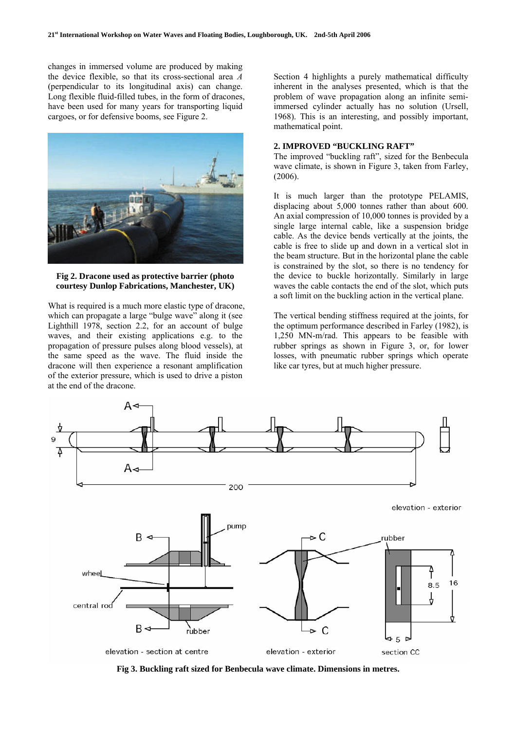changes in immersed volume are produced by making the device flexible, so that its cross-sectional area *A* (perpendicular to its longitudinal axis) can change. Long flexible fluid-filled tubes, in the form of dracones, have been used for many years for transporting liquid cargoes, or for defensive booms, see Figure 2.



**Fig 2. Dracone used as protective barrier (photo courtesy Dunlop Fabrications, Manchester, UK)** 

What is required is a much more elastic type of dracone, which can propagate a large "bulge wave" along it (see Lighthill 1978, section 2.2, for an account of bulge waves, and their existing applications e.g. to the propagation of pressure pulses along blood vessels), at the same speed as the wave. The fluid inside the dracone will then experience a resonant amplification of the exterior pressure, which is used to drive a piston at the end of the dracone.

Section 4 highlights a purely mathematical difficulty inherent in the analyses presented, which is that the problem of wave propagation along an infinite semiimmersed cylinder actually has no solution (Ursell, 1968). This is an interesting, and possibly important, mathematical point.

## **2. IMPROVED "BUCKLING RAFT"**

The improved "buckling raft", sized for the Benbecula wave climate, is shown in Figure 3, taken from Farley, (2006).

It is much larger than the prototype PELAMIS, displacing about 5,000 tonnes rather than about 600. An axial compression of 10,000 tonnes is provided by a single large internal cable, like a suspension bridge cable. As the device bends vertically at the joints, the cable is free to slide up and down in a vertical slot in the beam structure. But in the horizontal plane the cable is constrained by the slot, so there is no tendency for the device to buckle horizontally. Similarly in large waves the cable contacts the end of the slot, which puts a soft limit on the buckling action in the vertical plane.

The vertical bending stiffness required at the joints, for the optimum performance described in Farley (1982), is 1,250 MN-m/rad. This appears to be feasible with rubber springs as shown in Figure 3, or, for lower losses, with pneumatic rubber springs which operate like car tyres, but at much higher pressure.



**Fig 3. Buckling raft sized for Benbecula wave climate. Dimensions in metres.**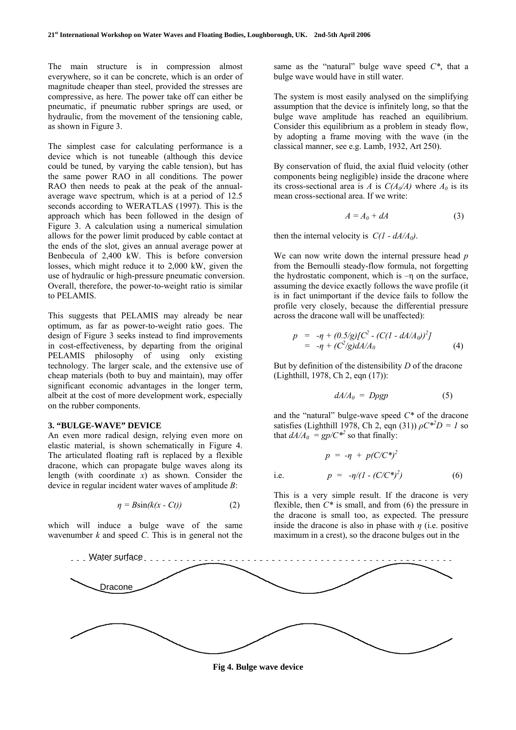The main structure is in compression almost everywhere, so it can be concrete, which is an order of magnitude cheaper than steel, provided the stresses are compressive, as here. The power take off can either be pneumatic, if pneumatic rubber springs are used, or hydraulic, from the movement of the tensioning cable, as shown in Figure 3.

The simplest case for calculating performance is a device which is not tuneable (although this device could be tuned, by varying the cable tension), but has the same power RAO in all conditions. The power RAO then needs to peak at the peak of the annualaverage wave spectrum, which is at a period of 12.5 seconds according to WERATLAS (1997). This is the approach which has been followed in the design of Figure 3. A calculation using a numerical simulation allows for the power limit produced by cable contact at the ends of the slot, gives an annual average power at Benbecula of 2,400 kW. This is before conversion losses, which might reduce it to 2,000 kW, given the use of hydraulic or high-pressure pneumatic conversion. Overall, therefore, the power-to-weight ratio is similar to PELAMIS.

This suggests that PELAMIS may already be near optimum, as far as power-to-weight ratio goes. The design of Figure 3 seeks instead to find improvements in cost-effectiveness, by departing from the original PELAMIS philosophy of using only existing technology. The larger scale, and the extensive use of cheap materials (both to buy and maintain), may offer significant economic advantages in the longer term, albeit at the cost of more development work, especially on the rubber components.

## **3. "BULGE-WAVE" DEVICE**

An even more radical design, relying even more on elastic material, is shown schematically in Figure 4. The articulated floating raft is replaced by a flexible dracone, which can propagate bulge waves along its length (with coordinate *x*) as shown. Consider the device in regular incident water waves of amplitude *B*:

$$
\eta = B\sin(k(x - Ct))\tag{2}
$$

which will induce a bulge wave of the same wavenumber *k* and speed *C*. This is in general not the same as the "natural" bulge wave speed *C\**, that a bulge wave would have in still water.

The system is most easily analysed on the simplifying assumption that the device is infinitely long, so that the bulge wave amplitude has reached an equilibrium. Consider this equilibrium as a problem in steady flow, by adopting a frame moving with the wave (in the classical manner, see e.g. Lamb, 1932, Art 250).

By conservation of fluid, the axial fluid velocity (other components being negligible) inside the dracone where its cross-sectional area is *A* is  $C(A_0/A)$  where  $A_0$  is its mean cross-sectional area. If we write:

$$
A = A_0 + dA \tag{3}
$$

then the internal velocity is  $C(1 - dA/A_0)$ .

We can now write down the internal pressure head *p*  from the Bernoulli steady-flow formula, not forgetting the hydrostatic component, which is  $-\eta$  on the surface, assuming the device exactly follows the wave profile (it is in fact unimportant if the device fails to follow the profile very closely, because the differential pressure across the dracone wall will be unaffected):

$$
p = -\eta + (0.5/g)[C^2 - (C(1 - dA/A_0))^2]
$$
  
= -\eta + (C^2/g)dA/A\_0 \t\t(4)

But by definition of the distensibility *D* of the dracone (Lighthill, 1978, Ch 2, eqn (17)):

$$
dA/A_0 = D\rho g p \tag{5}
$$

and the "natural" bulge-wave speed *C\** of the dracone satisfies (Lighthill 1978, Ch 2, eqn (31))  $\rho C^{*2}D = I$  so that  $dA/A_0 = gp/C^{*2}$  so that finally:

$$
p = -\eta + p(C/C^*)^2
$$
  
i.e. 
$$
p = -\eta/(1 - (C/C^*)^2)
$$
 (6)

This is a very simple result. If the dracone is very flexible, then *C\** is small, and from (6) the pressure in the dracone is small too, as expected. The pressure inside the dracone is also in phase with *η* (i.e. positive maximum in a crest), so the dracone bulges out in the



**Fig 4. Bulge wave device**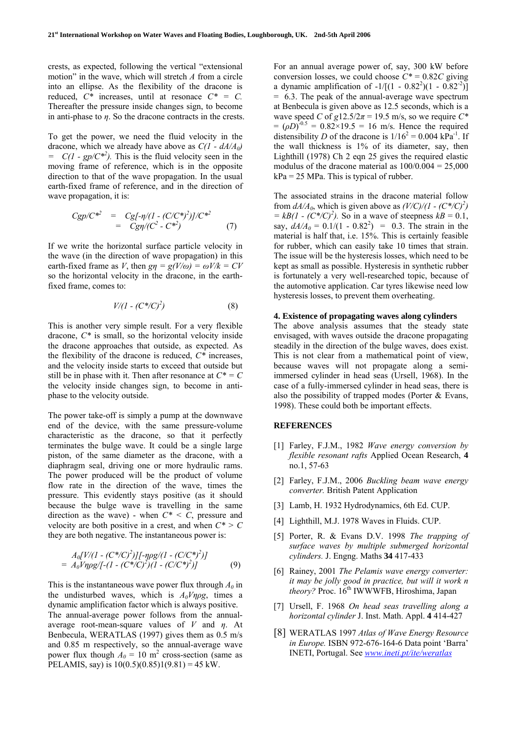crests, as expected, following the vertical "extensional motion" in the wave, which will stretch *A* from a circle into an ellipse. As the flexibility of the dracone is reduced,  $C^*$  increases, until at resonace  $C^* = C$ . Thereafter the pressure inside changes sign, to become in anti-phase to *η*. So the dracone contracts in the crests.

To get the power, we need the fluid velocity in the dracone, which we already have above as *C(1 - dA/A0)*   $= C(1 - gp/C^*)$ . This is the fluid velocity seen in the moving frame of reference, which is in the opposite direction to that of the wave propagation. In the usual earth-fixed frame of reference, and in the direction of wave propagation, it is:

$$
Cgp/C^{*2} = Cg[-\eta/(1 - (C/C^*)^2)]/C^{*2}
$$
  
=  $Cg\eta/(C^2 - C^{*2})$  (7)

If we write the horizontal surface particle velocity in the wave (in the direction of wave propagation) in this earth-fixed frame as *V*, then  $g\eta = g(V/\omega) = \omega V/k = CV$ so the horizontal velocity in the dracone, in the earthfixed frame, comes to:

$$
V/(1 - (C^*/C)^2) \tag{8}
$$

This is another very simple result. For a very flexible dracone, *C\** is small, so the horizontal velocity inside the dracone approaches that outside, as expected. As the flexibility of the dracone is reduced, *C\** increases, and the velocity inside starts to exceed that outside but still be in phase with it. Then after resonance at  $C^* = C$ the velocity inside changes sign, to become in antiphase to the velocity outside.

The power take-off is simply a pump at the downwave end of the device, with the same pressure-volume characteristic as the dracone, so that it perfectly terminates the bulge wave. It could be a single large piston, of the same diameter as the dracone, with a diaphragm seal, driving one or more hydraulic rams. The power produced will be the product of volume flow rate in the direction of the wave, times the pressure. This evidently stays positive (as it should because the bulge wave is travelling in the same direction as the wave) - when *C\* < C*, pressure and velocity are both positive in a crest, and when *C\* > C* they are both negative. The instantaneous power is:

$$
A_0[V/(1 - (C^*/C)^2)][-\eta \rho g/(1 - (C/C^*)^2)]
$$
  
=  $A_0V\eta \rho g/[-(1 - (C^*/C)^2)(1 - (C/C^*)^2)]$  (9)

This is the instantaneous wave power flux through  $A_0$  in the undisturbed waves, which is  $A_0V\eta\rho g$ , times a dynamic amplification factor which is always positive. The annual-average power follows from the annualaverage root-mean-square values of *V* and *η*. At Benbecula, WERATLAS (1997) gives them as 0.5 m/s and 0.85 m respectively, so the annual-average wave power flux though  $A_0 = 10 \text{ m}^2$  cross-section (same as PELAMIS, say) is  $10(0.5)(0.85)1(9.81) = 45$  kW.

For an annual average power of, say, 300 kW before conversion losses, we could choose  $C^* = 0.82C$  giving a dynamic amplification of  $-1/[(1 - 0.82^2)(1 - 0.82^2)]$ = 6.3. The peak of the annual-average wave spectrum at Benbecula is given above as 12.5 seconds, which is a wave speed *C* of  $g12.5/2\pi = 19.5$  m/s, so we require  $C^*$  $= (\rho D)^{-0.5} = 0.82 \times 19.5 = 16$  m/s. Hence the required distensibility *D* of the dracone is  $1/16^2 = 0.004 \text{ kPa}^{-1}$ . If the wall thickness is 1% of its diameter, say, then Lighthill (1978) Ch 2 eqn 25 gives the required elastic modulus of the dracone material as  $100/0.004 = 25,000$  $kPa = 25 MPa$ . This is typical of rubber.

The associated strains in the dracone material follow from  $dA/A_0$ , which is given above as  $(V/C)/(1 - (C^*/C)^2)$  $= kB(1 - (C^*/C)^2)$ . So in a wave of steepness  $kB = 0.1$ , say,  $dA/A_0 = 0.1/(1 - 0.82^2) = 0.3$ . The strain in the material is half that, i.e. 15%. This is certainly feasible for rubber, which can easily take 10 times that strain. The issue will be the hysteresis losses, which need to be kept as small as possible. Hysteresis in synthetic rubber is fortunately a very well-researched topic, because of the automotive application. Car tyres likewise need low hysteresis losses, to prevent them overheating.

#### **4. Existence of propagating waves along cylinders**

The above analysis assumes that the steady state envisaged, with waves outside the dracone propagating steadily in the direction of the bulge waves, does exist. This is not clear from a mathematical point of view, because waves will not propagate along a semiimmersed cylinder in head seas (Ursell, 1968). In the case of a fully-immersed cylinder in head seas, there is also the possibility of trapped modes (Porter & Evans, 1998). These could both be important effects.

## **REFERENCES**

- [1] Farley, F.J.M., 1982 *Wave energy conversion by flexible resonant rafts* Applied Ocean Research, **4**  no.1, 57-63
- [2] Farley, F.J.M., 2006 *Buckling beam wave energy converter.* British Patent Application
- [3] Lamb, H. 1932 Hydrodynamics, 6th Ed. CUP.
- [4] Lighthill, M.J. 1978 Waves in Fluids. CUP.
- [5] Porter, R. & Evans D.V. 1998 *The trapping of surface waves by multiple submerged horizontal cylinders.* J. Engng. Maths **34** 417-433
- [6] Rainey, 2001 *The Pelamis wave energy converter: it may be jolly good in practice, but will it work n theory?* Proc. 16<sup>th</sup> IWWWFB, Hiroshima, Japan
- [7] Ursell, F. 1968 *On head seas travelling along a horizontal cylinder* J. Inst. Math. Appl. **4** 414-427
- [8] WERATLAS 1997 *Atlas of Wave Energy Resource in Europe.* ISBN 972-676-164-6 Data point 'Barra' INETI, Portugal. See *www.ineti.pt/ite/weratlas*